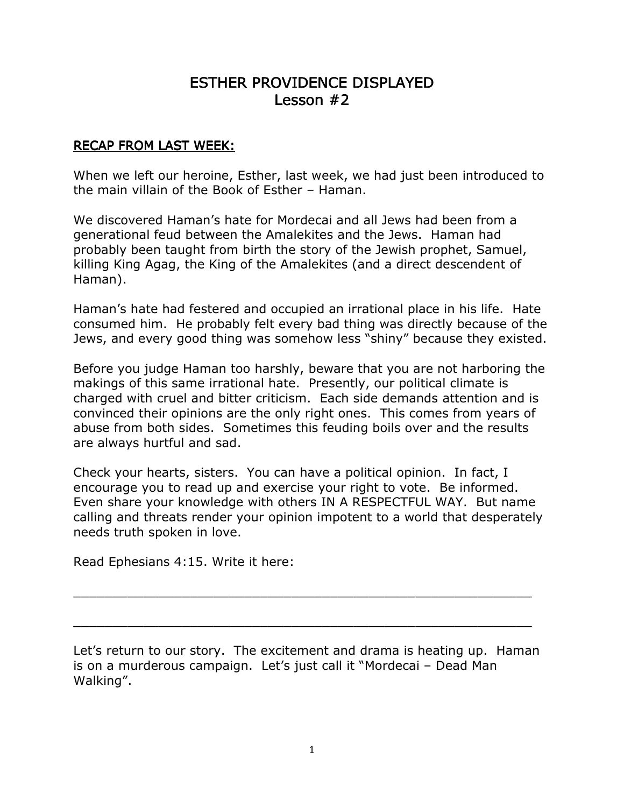# ESTHER PROVIDENCE DISPLAYED Lesson  $#2$

#### RECAP FROM LAST WEEK:

When we left our heroine, Esther, last week, we had just been introduced to the main villain of the Book of Esther – Haman.

We discovered Haman's hate for Mordecai and all Jews had been from a generational feud between the Amalekites and the Jews. Haman had probably been taught from birth the story of the Jewish prophet, Samuel, killing King Agag, the King of the Amalekites (and a direct descendent of Haman).

Haman's hate had festered and occupied an irrational place in his life. Hate consumed him. He probably felt every bad thing was directly because of the Jews, and every good thing was somehow less "shiny" because they existed.

Before you judge Haman too harshly, beware that you are not harboring the makings of this same irrational hate. Presently, our political climate is charged with cruel and bitter criticism. Each side demands attention and is convinced their opinions are the only right ones. This comes from years of abuse from both sides. Sometimes this feuding boils over and the results are always hurtful and sad.

Check your hearts, sisters. You can have a political opinion. In fact, I encourage you to read up and exercise your right to vote. Be informed. Even share your knowledge with others IN A RESPECTFUL WAY. But name calling and threats render your opinion impotent to a world that desperately needs truth spoken in love.

Read Ephesians 4:15. Write it here:

Let's return to our story. The excitement and drama is heating up. Haman is on a murderous campaign. Let's just call it "Mordecai – Dead Man Walking".

\_\_\_\_\_\_\_\_\_\_\_\_\_\_\_\_\_\_\_\_\_\_\_\_\_\_\_\_\_\_\_\_\_\_\_\_\_\_\_\_\_\_\_\_\_\_\_\_\_\_\_\_\_\_\_\_\_\_\_

 $\_$  , and the set of the set of the set of the set of the set of the set of the set of the set of the set of the set of the set of the set of the set of the set of the set of the set of the set of the set of the set of th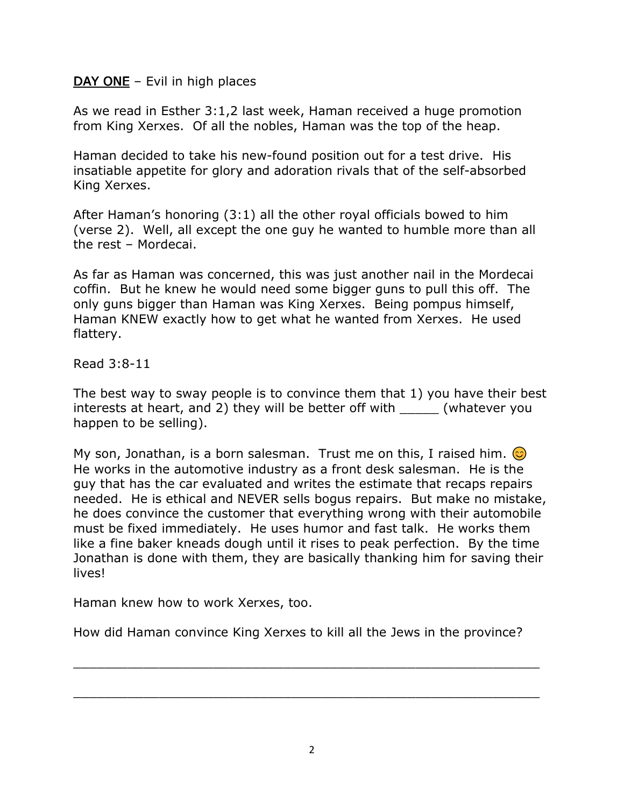### $$

As we read in Esther 3:1,2 last week, Haman received a huge promotion from King Xerxes. Of all the nobles, Haman was the top of the heap.

Haman decided to take his new-found position out for a test drive. His insatiable appetite for glory and adoration rivals that of the self-absorbed King Xerxes.

After Haman's honoring (3:1) all the other royal officials bowed to him (verse 2). Well, all except the one guy he wanted to humble more than all the rest – Mordecai.

As far as Haman was concerned, this was just another nail in the Mordecai coffin. But he knew he would need some bigger guns to pull this off. The only guns bigger than Haman was King Xerxes. Being pompus himself, Haman KNEW exactly how to get what he wanted from Xerxes. He used flattery.

#### Read 3:8-11

The best way to sway people is to convince them that 1) you have their best interests at heart, and 2) they will be better off with  $\qquad \qquad$  (whatever you happen to be selling).

My son, Jonathan, is a born salesman. Trust me on this, I raised him.  $\odot$ He works in the automotive industry as a front desk salesman. He is the guy that has the car evaluated and writes the estimate that recaps repairs needed. He is ethical and NEVER sells bogus repairs. But make no mistake, he does convince the customer that everything wrong with their automobile must be fixed immediately. He uses humor and fast talk. He works them like a fine baker kneads dough until it rises to peak perfection. By the time Jonathan is done with them, they are basically thanking him for saving their lives!

Haman knew how to work Xerxes, too.

How did Haman convince King Xerxes to kill all the Jews in the province?

\_\_\_\_\_\_\_\_\_\_\_\_\_\_\_\_\_\_\_\_\_\_\_\_\_\_\_\_\_\_\_\_\_\_\_\_\_\_\_\_\_\_\_\_\_\_\_\_\_\_\_\_\_\_\_\_\_\_\_\_

\_\_\_\_\_\_\_\_\_\_\_\_\_\_\_\_\_\_\_\_\_\_\_\_\_\_\_\_\_\_\_\_\_\_\_\_\_\_\_\_\_\_\_\_\_\_\_\_\_\_\_\_\_\_\_\_\_\_\_\_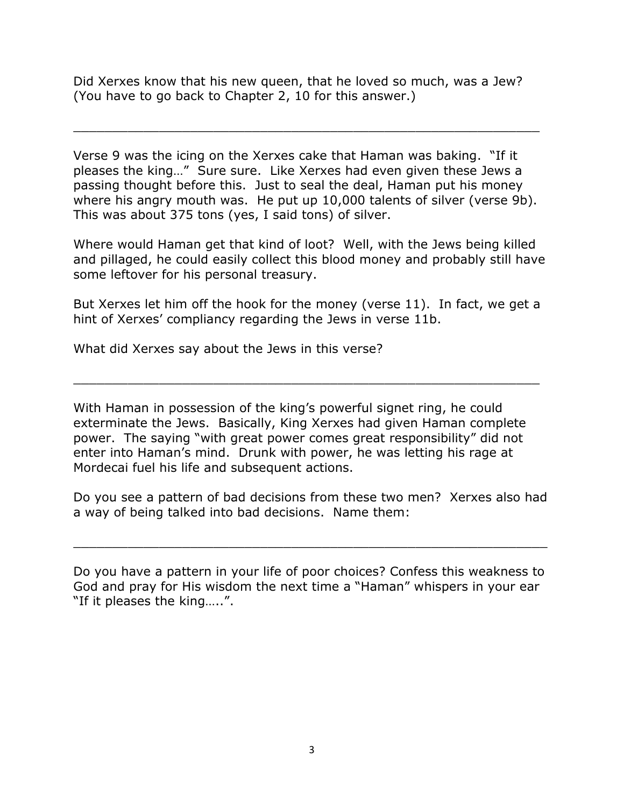Did Xerxes know that his new queen, that he loved so much, was a Jew? (You have to go back to Chapter 2, 10 for this answer.)

Verse 9 was the icing on the Xerxes cake that Haman was baking. "If it pleases the king…" Sure sure. Like Xerxes had even given these Jews a passing thought before this. Just to seal the deal, Haman put his money where his angry mouth was. He put up 10,000 talents of silver (verse 9b). This was about 375 tons (yes, I said tons) of silver.

\_\_\_\_\_\_\_\_\_\_\_\_\_\_\_\_\_\_\_\_\_\_\_\_\_\_\_\_\_\_\_\_\_\_\_\_\_\_\_\_\_\_\_\_\_\_\_\_\_\_\_\_\_\_\_\_\_\_\_\_

Where would Haman get that kind of loot? Well, with the Jews being killed and pillaged, he could easily collect this blood money and probably still have some leftover for his personal treasury.

But Xerxes let him off the hook for the money (verse 11). In fact, we get a hint of Xerxes' compliancy regarding the Jews in verse 11b.

\_\_\_\_\_\_\_\_\_\_\_\_\_\_\_\_\_\_\_\_\_\_\_\_\_\_\_\_\_\_\_\_\_\_\_\_\_\_\_\_\_\_\_\_\_\_\_\_\_\_\_\_\_\_\_\_\_\_\_\_

What did Xerxes say about the Jews in this verse?

With Haman in possession of the king's powerful signet ring, he could exterminate the Jews. Basically, King Xerxes had given Haman complete power. The saying "with great power comes great responsibility" did not enter into Haman's mind. Drunk with power, he was letting his rage at Mordecai fuel his life and subsequent actions.

Do you see a pattern of bad decisions from these two men? Xerxes also had a way of being talked into bad decisions. Name them:

 $\_$  , and the set of the set of the set of the set of the set of the set of the set of the set of the set of the set of the set of the set of the set of the set of the set of the set of the set of the set of the set of th

Do you have a pattern in your life of poor choices? Confess this weakness to God and pray for His wisdom the next time a "Haman" whispers in your ear "If it pleases the king…..".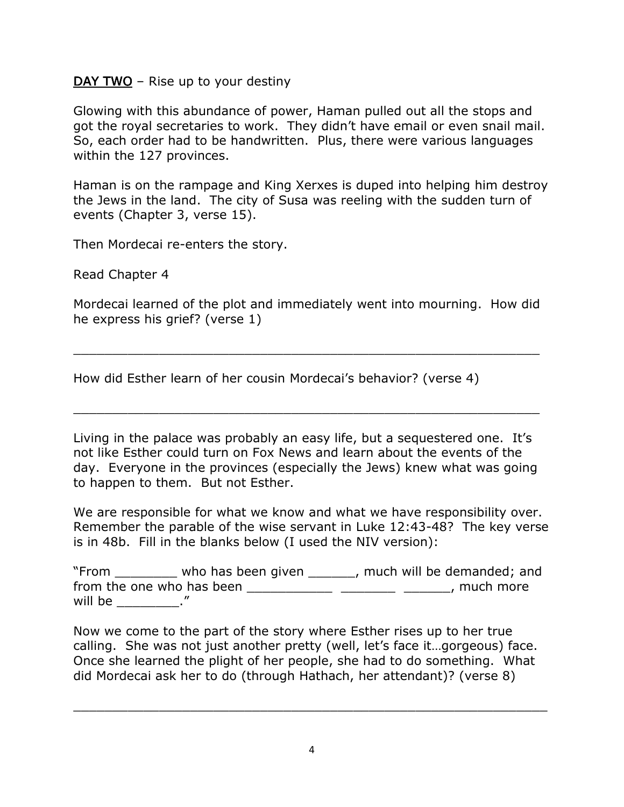#### **– Rise up to your destiny**

Glowing with this abundance of power, Haman pulled out all the stops and got the royal secretaries to work. They didn't have email or even snail mail. So, each order had to be handwritten. Plus, there were various languages within the 127 provinces.

Haman is on the rampage and King Xerxes is duped into helping him destroy the Jews in the land. The city of Susa was reeling with the sudden turn of events (Chapter 3, verse 15).

Then Mordecai re-enters the story.

Read Chapter 4

Mordecai learned of the plot and immediately went into mourning. How did he express his grief? (verse 1)

\_\_\_\_\_\_\_\_\_\_\_\_\_\_\_\_\_\_\_\_\_\_\_\_\_\_\_\_\_\_\_\_\_\_\_\_\_\_\_\_\_\_\_\_\_\_\_\_\_\_\_\_\_\_\_\_\_\_\_\_

How did Esther learn of her cousin Mordecai's behavior? (verse 4)

Living in the palace was probably an easy life, but a sequestered one. It's not like Esther could turn on Fox News and learn about the events of the day. Everyone in the provinces (especially the Jews) knew what was going to happen to them. But not Esther.

\_\_\_\_\_\_\_\_\_\_\_\_\_\_\_\_\_\_\_\_\_\_\_\_\_\_\_\_\_\_\_\_\_\_\_\_\_\_\_\_\_\_\_\_\_\_\_\_\_\_\_\_\_\_\_\_\_\_\_\_

We are responsible for what we know and what we have responsibility over. Remember the parable of the wise servant in Luke 12:43-48? The key verse is in 48b. Fill in the blanks below (I used the NIV version):

| "From   | who has been given        | , much will be demanded; and |
|---------|---------------------------|------------------------------|
|         | from the one who has been | , much more                  |
| will be |                           |                              |

Now we come to the part of the story where Esther rises up to her true calling. She was not just another pretty (well, let's face it…gorgeous) face. Once she learned the plight of her people, she had to do something. What did Mordecai ask her to do (through Hathach, her attendant)? (verse 8)

 $\_$  , and the set of the set of the set of the set of the set of the set of the set of the set of the set of the set of the set of the set of the set of the set of the set of the set of the set of the set of the set of th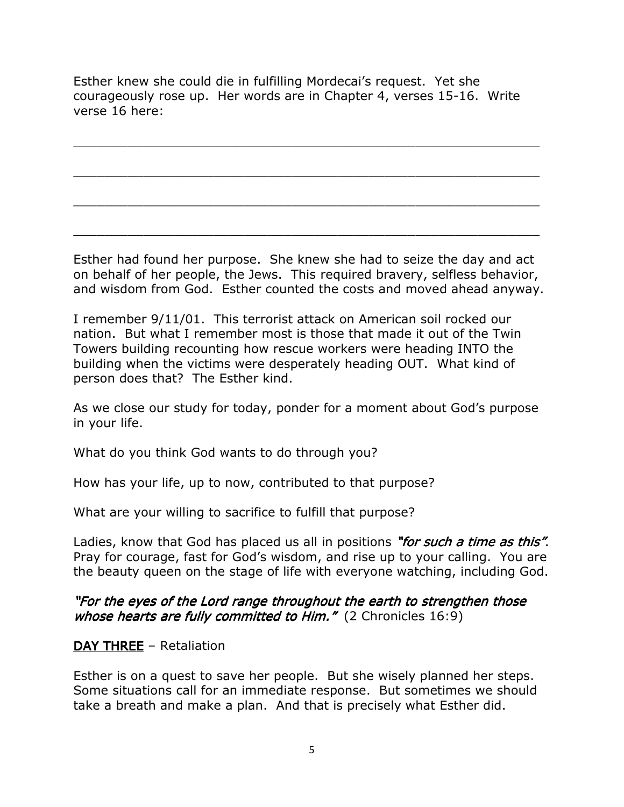Esther knew she could die in fulfilling Mordecai's request. Yet she courageously rose up. Her words are in Chapter 4, verses 15-16. Write verse 16 here:

\_\_\_\_\_\_\_\_\_\_\_\_\_\_\_\_\_\_\_\_\_\_\_\_\_\_\_\_\_\_\_\_\_\_\_\_\_\_\_\_\_\_\_\_\_\_\_\_\_\_\_\_\_\_\_\_\_\_\_\_

\_\_\_\_\_\_\_\_\_\_\_\_\_\_\_\_\_\_\_\_\_\_\_\_\_\_\_\_\_\_\_\_\_\_\_\_\_\_\_\_\_\_\_\_\_\_\_\_\_\_\_\_\_\_\_\_\_\_\_\_

\_\_\_\_\_\_\_\_\_\_\_\_\_\_\_\_\_\_\_\_\_\_\_\_\_\_\_\_\_\_\_\_\_\_\_\_\_\_\_\_\_\_\_\_\_\_\_\_\_\_\_\_\_\_\_\_\_\_\_\_

\_\_\_\_\_\_\_\_\_\_\_\_\_\_\_\_\_\_\_\_\_\_\_\_\_\_\_\_\_\_\_\_\_\_\_\_\_\_\_\_\_\_\_\_\_\_\_\_\_\_\_\_\_\_\_\_\_\_\_\_

Esther had found her purpose. She knew she had to seize the day and act on behalf of her people, the Jews. This required bravery, selfless behavior, and wisdom from God. Esther counted the costs and moved ahead anyway.

I remember 9/11/01. This terrorist attack on American soil rocked our nation. But what I remember most is those that made it out of the Twin Towers building recounting how rescue workers were heading INTO the building when the victims were desperately heading OUT. What kind of person does that? The Esther kind.

As we close our study for today, ponder for a moment about God's purpose in your life.

What do you think God wants to do through you?

How has your life, up to now, contributed to that purpose?

What are your willing to sacrifice to fulfill that purpose?

Ladies, know that God has placed us all in positions "for such a time as this". Pray for courage, fast for God's wisdom, and rise up to your calling. You are the beauty queen on the stage of life with everyone watching, including God.

"For the eyes of the Lord range throughout the earth to strengthen those whose hearts are fully committed to Him."  $(2$  Chronicles 16:9)

### $DAY$  THREE – Retaliation

Esther is on a quest to save her people. But she wisely planned her steps. Some situations call for an immediate response. But sometimes we should take a breath and make a plan. And that is precisely what Esther did.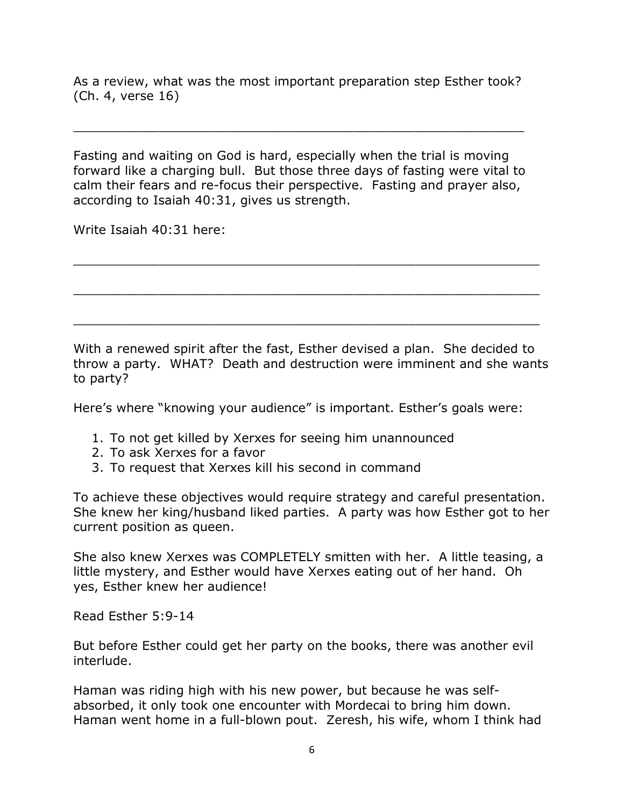As a review, what was the most important preparation step Esther took? (Ch. 4, verse 16)

\_\_\_\_\_\_\_\_\_\_\_\_\_\_\_\_\_\_\_\_\_\_\_\_\_\_\_\_\_\_\_\_\_\_\_\_\_\_\_\_\_\_\_\_\_\_\_\_\_\_\_\_\_\_\_\_\_\_

Fasting and waiting on God is hard, especially when the trial is moving forward like a charging bull. But those three days of fasting were vital to calm their fears and re-focus their perspective. Fasting and prayer also, according to Isaiah 40:31, gives us strength.

Write Isaiah 40:31 here:

With a renewed spirit after the fast, Esther devised a plan. She decided to throw a party. WHAT? Death and destruction were imminent and she wants to party?

\_\_\_\_\_\_\_\_\_\_\_\_\_\_\_\_\_\_\_\_\_\_\_\_\_\_\_\_\_\_\_\_\_\_\_\_\_\_\_\_\_\_\_\_\_\_\_\_\_\_\_\_\_\_\_\_\_\_\_\_

\_\_\_\_\_\_\_\_\_\_\_\_\_\_\_\_\_\_\_\_\_\_\_\_\_\_\_\_\_\_\_\_\_\_\_\_\_\_\_\_\_\_\_\_\_\_\_\_\_\_\_\_\_\_\_\_\_\_\_\_

\_\_\_\_\_\_\_\_\_\_\_\_\_\_\_\_\_\_\_\_\_\_\_\_\_\_\_\_\_\_\_\_\_\_\_\_\_\_\_\_\_\_\_\_\_\_\_\_\_\_\_\_\_\_\_\_\_\_\_\_

Here's where "knowing your audience" is important. Esther's goals were:

- 1. To not get killed by Xerxes for seeing him unannounced
- 2. To ask Xerxes for a favor
- 3. To request that Xerxes kill his second in command

To achieve these objectives would require strategy and careful presentation. She knew her king/husband liked parties. A party was how Esther got to her current position as queen.

She also knew Xerxes was COMPLETELY smitten with her. A little teasing, a little mystery, and Esther would have Xerxes eating out of her hand. Oh yes, Esther knew her audience!

Read Esther 5:9-14

But before Esther could get her party on the books, there was another evil interlude.

Haman was riding high with his new power, but because he was selfabsorbed, it only took one encounter with Mordecai to bring him down. Haman went home in a full-blown pout. Zeresh, his wife, whom I think had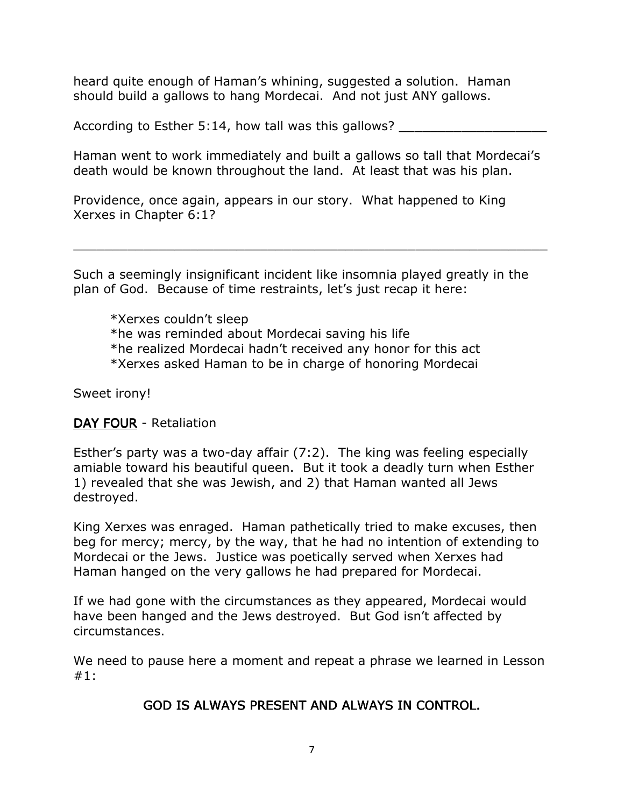heard quite enough of Haman's whining, suggested a solution. Haman should build a gallows to hang Mordecai. And not just ANY gallows.

According to Esther 5:14, how tall was this gallows?

Haman went to work immediately and built a gallows so tall that Mordecai's death would be known throughout the land. At least that was his plan.

Providence, once again, appears in our story. What happened to King Xerxes in Chapter 6:1?

Such a seemingly insignificant incident like insomnia played greatly in the plan of God. Because of time restraints, let's just recap it here:

 $\_$  , and the set of the set of the set of the set of the set of the set of the set of the set of the set of the set of the set of the set of the set of the set of the set of the set of the set of the set of the set of th

 \*Xerxes couldn't sleep \*he was reminded about Mordecai saving his life \*he realized Mordecai hadn't received any honor for this act \*Xerxes asked Haman to be in charge of honoring Mordecai

Sweet irony!

# DAY FOUR - Retaliation

Esther's party was a two-day affair (7:2). The king was feeling especially amiable toward his beautiful queen. But it took a deadly turn when Esther 1) revealed that she was Jewish, and 2) that Haman wanted all Jews destroyed.

King Xerxes was enraged. Haman pathetically tried to make excuses, then beg for mercy; mercy, by the way, that he had no intention of extending to Mordecai or the Jews. Justice was poetically served when Xerxes had Haman hanged on the very gallows he had prepared for Mordecai.

If we had gone with the circumstances as they appeared, Mordecai would have been hanged and the Jews destroyed. But God isn't affected by circumstances.

We need to pause here a moment and repeat a phrase we learned in Lesson #1:

# GOD IS ALWAYS PRESENT AND ALWAYS IN CONTROL.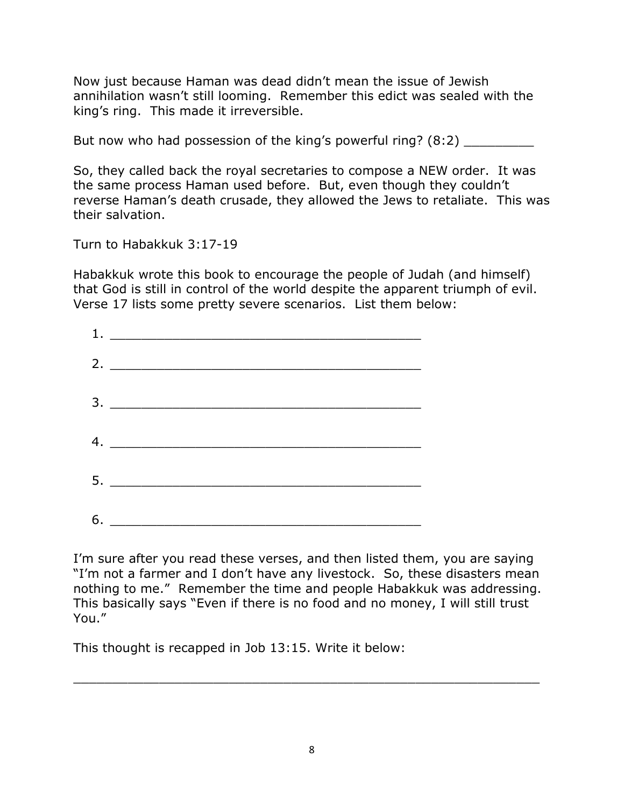Now just because Haman was dead didn't mean the issue of Jewish annihilation wasn't still looming. Remember this edict was sealed with the king's ring. This made it irreversible.

But now who had possession of the king's powerful ring? (8:2)

So, they called back the royal secretaries to compose a NEW order. It was the same process Haman used before. But, even though they couldn't reverse Haman's death crusade, they allowed the Jews to retaliate. This was their salvation.

Turn to Habakkuk 3:17-19

Habakkuk wrote this book to encourage the people of Judah (and himself) that God is still in control of the world despite the apparent triumph of evil. Verse 17 lists some pretty severe scenarios. List them below:

| 1. | <u> Alexandria (m. 1888)</u> |  |  |
|----|------------------------------|--|--|
|    |                              |  |  |
|    |                              |  |  |
|    | 4. $\overline{\phantom{a}}$  |  |  |
|    |                              |  |  |
|    |                              |  |  |

I'm sure after you read these verses, and then listed them, you are saying "I'm not a farmer and I don't have any livestock. So, these disasters mean nothing to me." Remember the time and people Habakkuk was addressing. This basically says "Even if there is no food and no money, I will still trust You."

This thought is recapped in Job 13:15. Write it below:

\_\_\_\_\_\_\_\_\_\_\_\_\_\_\_\_\_\_\_\_\_\_\_\_\_\_\_\_\_\_\_\_\_\_\_\_\_\_\_\_\_\_\_\_\_\_\_\_\_\_\_\_\_\_\_\_\_\_\_\_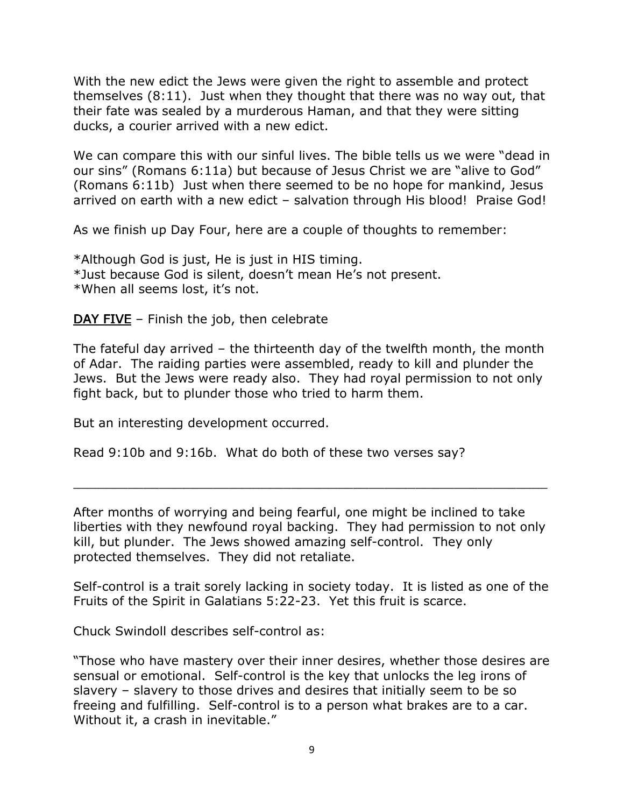With the new edict the Jews were given the right to assemble and protect themselves (8:11). Just when they thought that there was no way out, that their fate was sealed by a murderous Haman, and that they were sitting ducks, a courier arrived with a new edict.

We can compare this with our sinful lives. The bible tells us we were "dead in our sins" (Romans 6:11a) but because of Jesus Christ we are "alive to God" (Romans 6:11b) Just when there seemed to be no hope for mankind, Jesus arrived on earth with a new edict – salvation through His blood! Praise God!

As we finish up Day Four, here are a couple of thoughts to remember:

\*Although God is just, He is just in HIS timing. \*Just because God is silent, doesn't mean He's not present. \*When all seems lost, it's not.

DAY FIVE – Finish the job, then celebrate

The fateful day arrived – the thirteenth day of the twelfth month, the month of Adar. The raiding parties were assembled, ready to kill and plunder the Jews. But the Jews were ready also. They had royal permission to not only fight back, but to plunder those who tried to harm them.

But an interesting development occurred.

Read 9:10b and 9:16b. What do both of these two verses say?

After months of worrying and being fearful, one might be inclined to take liberties with they newfound royal backing. They had permission to not only kill, but plunder. The Jews showed amazing self-control. They only protected themselves. They did not retaliate.

\_\_\_\_\_\_\_\_\_\_\_\_\_\_\_\_\_\_\_\_\_\_\_\_\_\_\_\_\_\_\_\_\_\_\_\_\_\_\_\_\_\_\_\_\_\_\_\_\_\_\_\_\_\_\_\_\_\_\_\_\_

Self-control is a trait sorely lacking in society today. It is listed as one of the Fruits of the Spirit in Galatians 5:22-23. Yet this fruit is scarce.

Chuck Swindoll describes self-control as:

"Those who have mastery over their inner desires, whether those desires are sensual or emotional. Self-control is the key that unlocks the leg irons of slavery – slavery to those drives and desires that initially seem to be so freeing and fulfilling. Self-control is to a person what brakes are to a car. Without it, a crash in inevitable."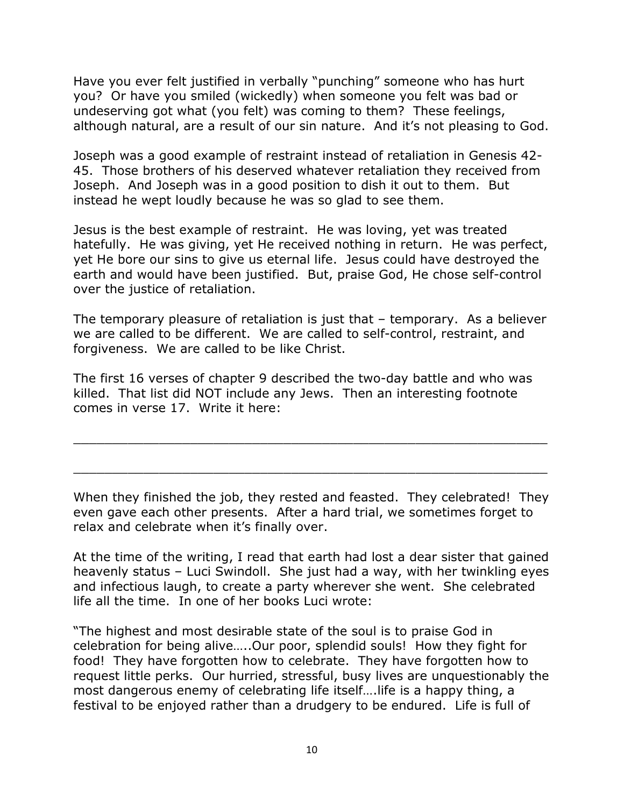Have you ever felt justified in verbally "punching" someone who has hurt you? Or have you smiled (wickedly) when someone you felt was bad or undeserving got what (you felt) was coming to them? These feelings, although natural, are a result of our sin nature. And it's not pleasing to God.

Joseph was a good example of restraint instead of retaliation in Genesis 42- 45. Those brothers of his deserved whatever retaliation they received from Joseph. And Joseph was in a good position to dish it out to them. But instead he wept loudly because he was so glad to see them.

Jesus is the best example of restraint. He was loving, yet was treated hatefully. He was giving, yet He received nothing in return. He was perfect, yet He bore our sins to give us eternal life. Jesus could have destroyed the earth and would have been justified. But, praise God, He chose self-control over the justice of retaliation.

The temporary pleasure of retaliation is just that – temporary. As a believer we are called to be different. We are called to self-control, restraint, and forgiveness. We are called to be like Christ.

The first 16 verses of chapter 9 described the two-day battle and who was killed. That list did NOT include any Jews. Then an interesting footnote comes in verse 17. Write it here:

When they finished the job, they rested and feasted. They celebrated! They even gave each other presents. After a hard trial, we sometimes forget to relax and celebrate when it's finally over.

\_\_\_\_\_\_\_\_\_\_\_\_\_\_\_\_\_\_\_\_\_\_\_\_\_\_\_\_\_\_\_\_\_\_\_\_\_\_\_\_\_\_\_\_\_\_\_\_\_\_\_\_\_\_\_\_\_\_\_\_\_

 $\_$  , and the set of the set of the set of the set of the set of the set of the set of the set of the set of the set of the set of the set of the set of the set of the set of the set of the set of the set of the set of th

At the time of the writing, I read that earth had lost a dear sister that gained heavenly status – Luci Swindoll. She just had a way, with her twinkling eyes and infectious laugh, to create a party wherever she went. She celebrated life all the time. In one of her books Luci wrote:

"The highest and most desirable state of the soul is to praise God in celebration for being alive…..Our poor, splendid souls! How they fight for food! They have forgotten how to celebrate. They have forgotten how to request little perks. Our hurried, stressful, busy lives are unquestionably the most dangerous enemy of celebrating life itself….life is a happy thing, a festival to be enjoyed rather than a drudgery to be endured. Life is full of